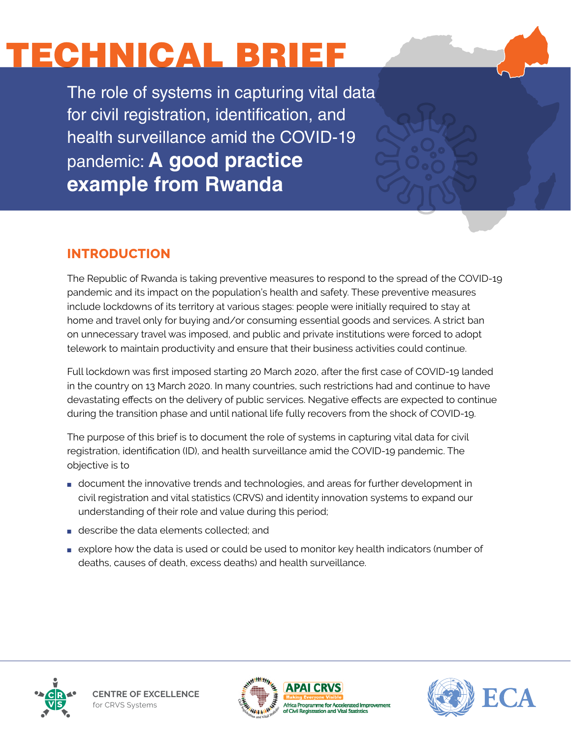# TECHNICAL BRIEF

The role of systems in capturing vital data for civil registration, identification, and health surveillance amid the COVID-19 pandemic: **A good practice example from Rwanda** 

# **INTRODUCTION**

The Republic of Rwanda is taking preventive measures to respond to the spread of the COVID-19 pandemic and its impact on the population's health and safety. These preventive measures include lockdowns of its territory at various stages: people were initially required to stay at home and travel only for buying and/or consuming essential goods and services. A strict ban on unnecessary travel was imposed, and public and private institutions were forced to adopt telework to maintain productivity and ensure that their business activities could continue.

Full lockdown was first imposed starting 20 March 2020, after the first case of COVID-19 landed in the country on 13 March 2020. In many countries, such restrictions had and continue to have devastating effects on the delivery of public services. Negative effects are expected to continue during the transition phase and until national life fully recovers from the shock of COVID-19.

The purpose of this brief is to document the role of systems in capturing vital data for civil registration, identification (ID), and health surveillance amid the COVID-19 pandemic. The objective is to

- document the innovative trends and technologies, and areas for further development in civil registration and vital statistics (CRVS) and identity innovation systems to expand our understanding of their role and value during this period;
- describe the data elements collected; and
- explore how the data is used or could be used to monitor key health indicators (number of deaths, causes of death, excess deaths) and health surveillance.



**CENTRE OF EXCELLENCE** for CRVS Systems



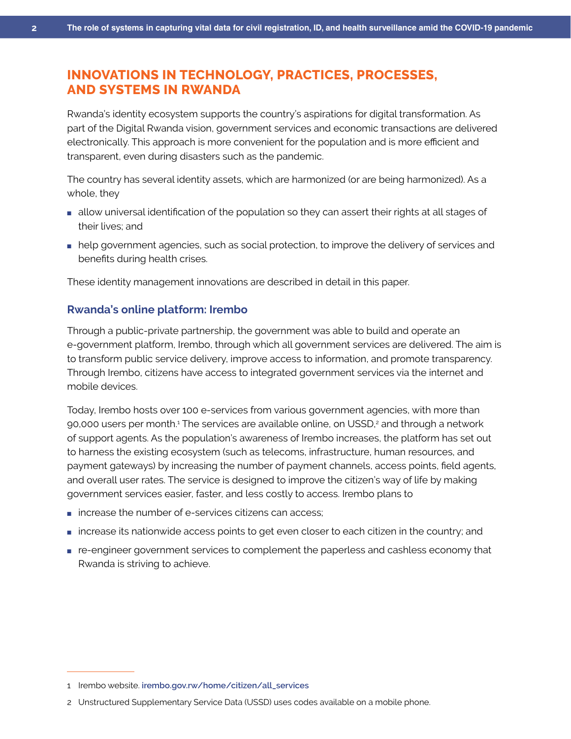## **INNOVATIONS IN TECHNOLOGY, PRACTICES, PROCESSES, AND SYSTEMS IN RWANDA**

Rwanda's identity ecosystem supports the country's aspirations for digital transformation. As part of the Digital Rwanda vision, government services and economic transactions are delivered electronically. This approach is more convenient for the population and is more efficient and transparent, even during disasters such as the pandemic.

The country has several identity assets, which are harmonized (or are being harmonized). As a whole, they

- allow universal identification of the population so they can assert their rights at all stages of their lives; and
- help government agencies, such as social protection, to improve the delivery of services and benefits during health crises.

These identity management innovations are described in detail in this paper.

#### **[Rwanda's online platform:](https://irembo.gov.rw/rolportal/web/rol) Irembo**

Through a public-private partnership, the government was able to build and operate an e-government platform, Irembo, through which all government services are delivered. The aim is to transform public service delivery, improve access to information, and promote transparency. Through Irembo, citizens have access to integrated government services via the internet and mobile devices.

Today, Irembo hosts over 100 e-services from various government agencies, with more than 90,000 users per month.<sup>1</sup> The services are available online, on USSD,2 and through a network of support agents. As the population's awareness of Irembo increases, the platform has set out to harness the existing ecosystem (such as telecoms, infrastructure, human resources, and payment gateways) by increasing the number of payment channels, access points, field agents, and overall user rates. The service is designed to improve the citizen's way of life by making government services easier, faster, and less costly to access. Irembo plans to

- increase the number of e-services citizens can access:
- increase its nationwide access points to get even closer to each citizen in the country; and
- re-engineer government services to complement the paperless and cashless economy that Rwanda is striving to achieve.

<sup>1</sup> Irembo website. **[irembo.gov.rw/home/citizen/all\\_services](https://irembo.gov.rw/home/citizen/all_services)**

<sup>2</sup> Unstructured Supplementary Service Data (USSD) uses codes available on a mobile phone.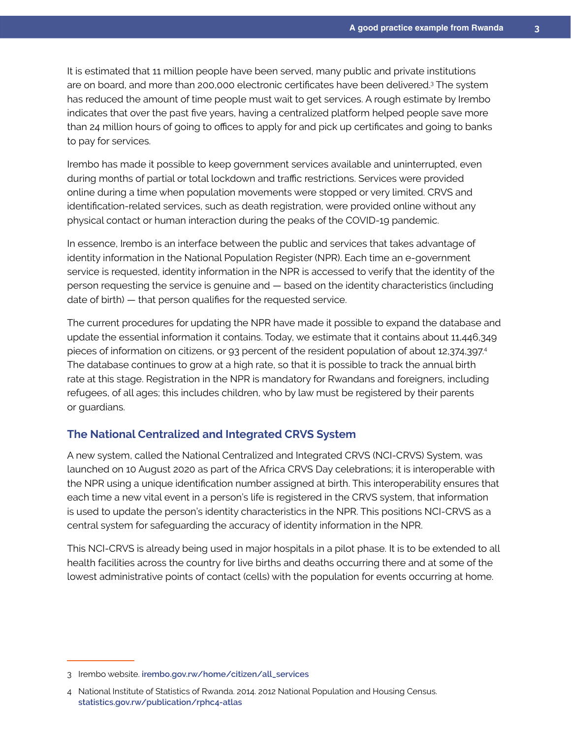It is estimated that 11 million people have been served, many public and private institutions are on board, and more than 200,000 electronic certificates have been delivered.<sup>3</sup> The system has reduced the amount of time people must wait to get services. A rough estimate by Irembo indicates that over the past five years, having a centralized platform helped people save more than 24 million hours of going to offices to apply for and pick up certificates and going to banks to pay for services.

Irembo has made it possible to keep government services available and uninterrupted, even during months of partial or total lockdown and traffic restrictions. Services were provided online during a time when population movements were stopped or very limited. CRVS and identification-related services, such as death registration, were provided online without any physical contact or human interaction during the peaks of the COVID-19 pandemic.

In essence, Irembo is an interface between the public and services that takes advantage of identity information in the National Population Register (NPR). Each time an e-government service is requested, identity information in the NPR is accessed to verify that the identity of the person requesting the service is genuine and — based on the identity characteristics (including date of birth) — that person qualifies for the requested service.

The current procedures for updating the NPR have made it possible to expand the database and update the essential information it contains. Today, we estimate that it contains about 11,446,349 pieces of information on citizens, or 93 percent of the resident population of about 12,374,397.4 The database continues to grow at a high rate, so that it is possible to track the annual birth rate at this stage. Registration in the NPR is mandatory for Rwandans and foreigners, including refugees, of all ages; this includes children, who by law must be registered by their parents or guardians.

#### **The National Centralized and Integrated CRVS System**

A new system, called the National Centralized and Integrated CRVS (NCI-CRVS) System, was launched on 10 August 2020 as part of the Africa CRVS Day celebrations; it is interoperable with the NPR using a unique identification number assigned at birth. This interoperability ensures that each time a new vital event in a person's life is registered in the CRVS system, that information is used to update the person's identity characteristics in the NPR. This positions NCI-CRVS as a central system for safeguarding the accuracy of identity information in the NPR.

This NCI-CRVS is already being used in major hospitals in a pilot phase. It is to be extended to all health facilities across the country for live births and deaths occurring there and at some of the lowest administrative points of contact (cells) with the population for events occurring at home.

<sup>3</sup> Irembo website. **[irembo.gov.rw/home/citizen/all\\_services](http://irembo.gov.rw/home/citizen/all_services)**

<sup>4</sup> National Institute of Statistics of Rwanda. 2014. 2012 National Population and Housing Census. **[statistics.gov.rw/publication/rphc4-atlas](https://www.statistics.gov.rw/publication/rphc4-atlas)**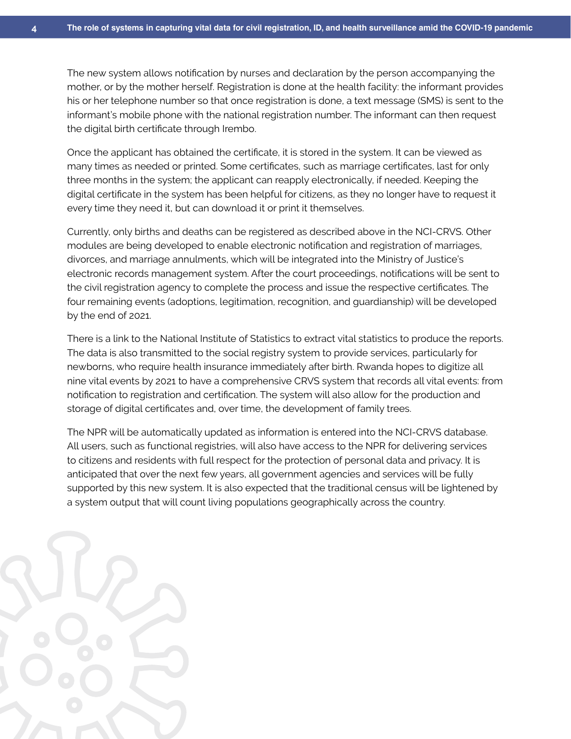The new system allows notification by nurses and declaration by the person accompanying the mother, or by the mother herself. Registration is done at the health facility: the informant provides his or her telephone number so that once registration is done, a text message (SMS) is sent to the informant's mobile phone with the national registration number. The informant can then request the digital birth certificate through Irembo.

Once the applicant has obtained the certificate, it is stored in the system. It can be viewed as many times as needed or printed. Some certificates, such as marriage certificates, last for only three months in the system; the applicant can reapply electronically, if needed. Keeping the digital certificate in the system has been helpful for citizens, as they no longer have to request it every time they need it, but can download it or print it themselves.

Currently, only births and deaths can be registered as described above in the NCI-CRVS. Other modules are being developed to enable electronic notification and registration of marriages, divorces, and marriage annulments, which will be integrated into the Ministry of Justice's electronic records management system. After the court proceedings, notifications will be sent to the civil registration agency to complete the process and issue the respective certificates. The four remaining events (adoptions, legitimation, recognition, and guardianship) will be developed by the end of 2021.

There is a link to the National Institute of Statistics to extract vital statistics to produce the reports. The data is also transmitted to the social registry system to provide services, particularly for newborns, who require health insurance immediately after birth. Rwanda hopes to digitize all nine vital events by 2021 to have a comprehensive CRVS system that records all vital events: from notification to registration and certification. The system will also allow for the production and storage of digital certificates and, over time, the development of family trees.

The NPR will be automatically updated as information is entered into the NCI-CRVS database. All users, such as functional registries, will also have access to the NPR for delivering services to citizens and residents with full respect for the protection of personal data and privacy. It is anticipated that over the next few years, all government agencies and services will be fully supported by this new system. It is also expected that the traditional census will be lightened by a system output that will count living populations geographically across the country.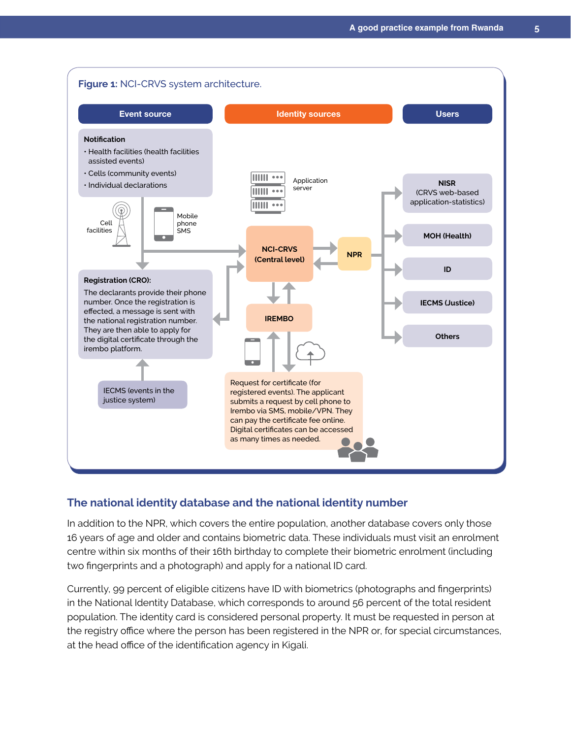

#### **The national identity database and the national identity number**

In addition to the NPR, which covers the entire population, another database covers only those 16 years of age and older and contains biometric data. These individuals must visit an enrolment centre within six months of their 16th birthday to complete their biometric enrolment (including two fingerprints and a photograph) and apply for a national ID card.

Currently, 99 percent of eligible citizens have ID with biometrics (photographs and fingerprints) in the National Identity Database, which corresponds to around 56 percent of the total resident population. The identity card is considered personal property. It must be requested in person at the registry office where the person has been registered in the NPR or, for special circumstances, at the head office of the identification agency in Kigali.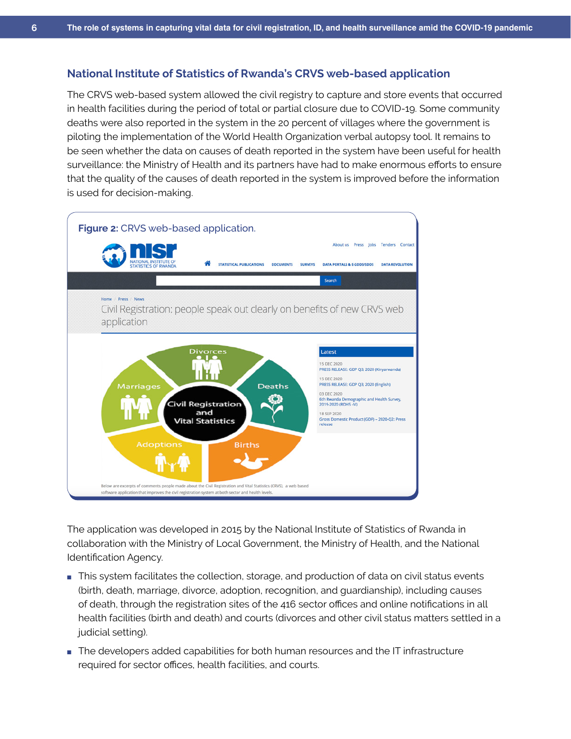#### **National Institute of Statistics of Rwanda's CRVS web-based application**

The CRVS web-based system allowed the civil registry to capture and store events that occurred in health facilities during the period of total or partial closure due to COVID-19. Some community deaths were also reported in the system in the 20 percent of villages where the government is piloting the implementation of the World Health Organization verbal autopsy tool. It remains to be seen whether the data on causes of death reported in the system have been useful for health surveillance: the Ministry of Health and its partners have had to make enormous efforts to ensure that the quality of the causes of death reported in the system is improved before the information is used for decision-making.



The application was developed in 2015 by the National Institute of Statistics of Rwanda in collaboration with the Ministry of Local Government, the Ministry of Health, and the National Identification Agency.

- This system facilitates the collection, storage, and production of data on civil status events (birth, death, marriage, divorce, adoption, recognition, and guardianship), including causes of death, through the registration sites of the 416 sector offices and online notifications in all health facilities (birth and death) and courts (divorces and other civil status matters settled in a judicial setting).
- The developers added capabilities for both human resources and the IT infrastructure required for sector offices, health facilities, and courts.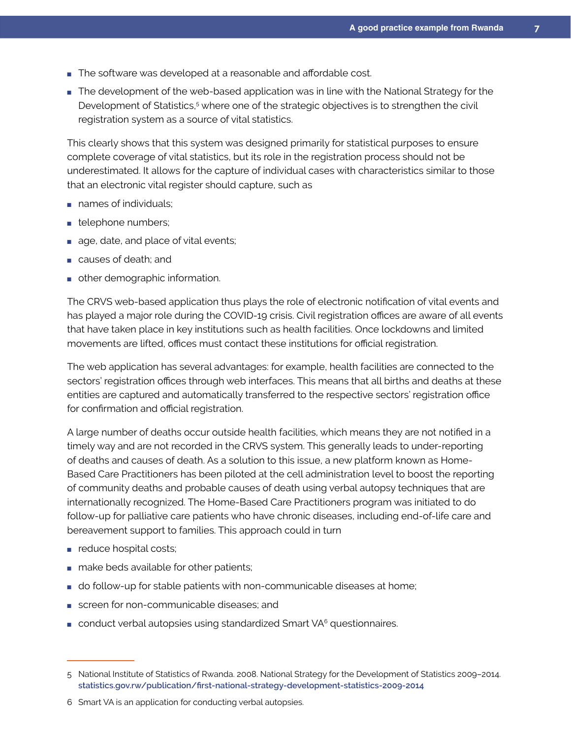- The software was developed at a reasonable and affordable cost.
- The development of the web-based application was in line with the National Strategy for the Development of Statistics,<sup>5</sup> where one of the strategic objectives is to strengthen the civil registration system as a source of vital statistics.

This clearly shows that this system was designed primarily for statistical purposes to ensure complete coverage of vital statistics, but its role in the registration process should not be underestimated. It allows for the capture of individual cases with characteristics similar to those that an electronic vital register should capture, such as

- names of individuals;
- telephone numbers;
- age, date, and place of vital events;
- causes of death; and
- other demographic information.

The CRVS web-based application thus plays the role of electronic notification of vital events and has played a major role during the COVID-19 crisis. Civil registration offices are aware of all events that have taken place in key institutions such as health facilities. Once lockdowns and limited movements are lifted, offices must contact these institutions for official registration.

The web application has several advantages: for example, health facilities are connected to the sectors' registration offices through web interfaces. This means that all births and deaths at these entities are captured and automatically transferred to the respective sectors' registration office for confirmation and official registration.

A large number of deaths occur outside health facilities, which means they are not notified in a timely way and are not recorded in the CRVS system. This generally leads to under-reporting of deaths and causes of death. As a solution to this issue, a new platform known as Home-Based Care Practitioners has been piloted at the cell administration level to boost the reporting of community deaths and probable causes of death using verbal autopsy techniques that are internationally recognized. The Home-Based Care Practitioners program was initiated to do follow-up for palliative care patients who have chronic diseases, including end-of-life care and bereavement support to families. This approach could in turn

- reduce hospital costs;
- make beds available for other patients;
- do follow-up for stable patients with non-communicable diseases at home;
- screen for non-communicable diseases; and
- conduct verbal autopsies using standardized Smart VA<sup>6</sup> questionnaires.

<sup>5</sup> National Institute of Statistics of Rwanda. 2008. National Strategy for the Development of Statistics 2009–2014. **[statistics.gov.rw/publication/first-national-strategy-development-statistics-2009-2014](https://www.statistics.gov.rw/publication/first-national-strategy-development-statistics-2009-2014)**

<sup>6</sup> Smart VA is an application for conducting verbal autopsies.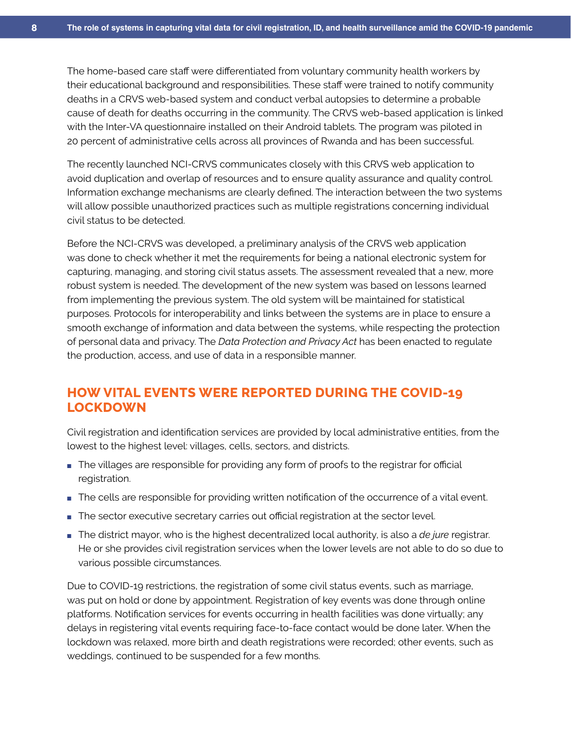The home-based care staff were differentiated from voluntary community health workers by their educational background and responsibilities. These staff were trained to notify community deaths in a CRVS web-based system and conduct verbal autopsies to determine a probable cause of death for deaths occurring in the community. The CRVS web-based application is linked with the Inter-VA questionnaire installed on their Android tablets. The program was piloted in 20 percent of administrative cells across all provinces of Rwanda and has been successful.

The recently launched NCI-CRVS communicates closely with this CRVS web application to avoid duplication and overlap of resources and to ensure quality assurance and quality control. Information exchange mechanisms are clearly defined. The interaction between the two systems will allow possible unauthorized practices such as multiple registrations concerning individual civil status to be detected.

Before the NCI-CRVS was developed, a preliminary analysis of the CRVS web application was done to check whether it met the requirements for being a national electronic system for capturing, managing, and storing civil status assets. The assessment revealed that a new, more robust system is needed. The development of the new system was based on lessons learned from implementing the previous system. The old system will be maintained for statistical purposes. Protocols for interoperability and links between the systems are in place to ensure a smooth exchange of information and data between the systems, while respecting the protection of personal data and privacy. The *Data Protection and Privacy Act* has been enacted to regulate the production, access, and use of data in a responsible manner.

### **HOW VITAL EVENTS WERE REPORTED DURING THE COVID-19 LOCKDOWN**

Civil registration and identification services are provided by local administrative entities, from the lowest to the highest level: villages, cells, sectors, and districts.

- The villages are responsible for providing any form of proofs to the registrar for official registration.
- The cells are responsible for providing written notification of the occurrence of a vital event.
- The sector executive secretary carries out official registration at the sector level.
- The district mayor, who is the highest decentralized local authority, is also a *de jure* registrar. He or she provides civil registration services when the lower levels are not able to do so due to various possible circumstances.

Due to COVID-19 restrictions, the registration of some civil status events, such as marriage, was put on hold or done by appointment. Registration of key events was done through online platforms. Notification services for events occurring in health facilities was done virtually; any delays in registering vital events requiring face-to-face contact would be done later. When the lockdown was relaxed, more birth and death registrations were recorded; other events, such as weddings, continued to be suspended for a few months.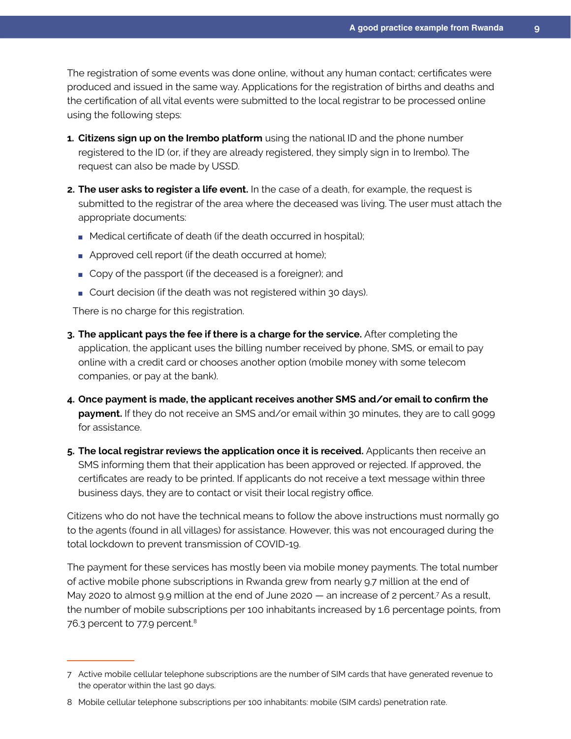The registration of some events was done online, without any human contact; certificates were produced and issued in the same way. Applications for the registration of births and deaths and the certification of all vital events were submitted to the local registrar to be processed online using the following steps:

- **1. Citizens sign up on the Irembo platform** using the national ID and the phone number registered to the ID (or, if they are already registered, they simply sign in to Irembo). The request can also be made by USSD.
- **2. The user asks to register a life event.** In the case of a death, for example, the request is submitted to the registrar of the area where the deceased was living. The user must attach the appropriate documents:
	- Medical certificate of death (if the death occurred in hospital);
	- Approved cell report (if the death occurred at home);
	- Copy of the passport (if the deceased is a foreigner); and
	- Court decision (if the death was not registered within 30 days).

There is no charge for this registration.

- **3. The applicant pays the fee if there is a charge for the service.** After completing the application, the applicant uses the billing number received by phone, SMS, or email to pay online with a credit card or chooses another option (mobile money with some telecom companies, or pay at the bank).
- **4. Once payment is made, the applicant receives another SMS and/or email to confirm the payment.** If they do not receive an SMS and/or email within 30 minutes, they are to call 9099 for assistance.
- **5. The local registrar reviews the application once it is received.** Applicants then receive an SMS informing them that their application has been approved or rejected. If approved, the certificates are ready to be printed. If applicants do not receive a text message within three business days, they are to contact or visit their local registry office.

Citizens who do not have the technical means to follow the above instructions must normally go to the agents (found in all villages) for assistance. However, this was not encouraged during the total lockdown to prevent transmission of COVID-19.

The payment for these services has mostly been via mobile money payments. The total number of active mobile phone subscriptions in Rwanda grew from nearly 9.7 million at the end of May 2020 to almost 9.9 million at the end of June 2020 — an increase of 2 percent.<sup>7</sup> As a result, the number of mobile subscriptions per 100 inhabitants increased by 1.6 percentage points, from 76.3 percent to 77.9 percent.8

<sup>7</sup> Active mobile cellular telephone subscriptions are the number of SIM cards that have generated revenue to the operator within the last 90 days.

<sup>8</sup> Mobile cellular telephone subscriptions per 100 inhabitants: mobile (SIM cards) penetration rate.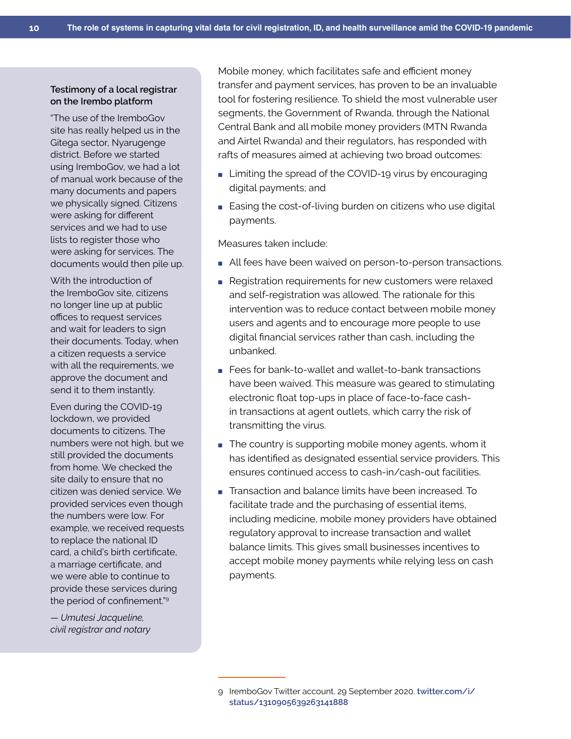#### **Testimony of a local registrar on the Irembo platform**

"The use of the IremboGov site has really helped us in the Gitega sector, Nyarugenge district. Before we started using IremboGov, we had a lot of manual work because of the many documents and papers we physically signed. Citizens were asking for different services and we had to use lists to register those who were asking for services. The documents would then pile up.

With the introduction of the IremboGov site, citizens no longer line up at public offices to request services and wait for leaders to sign their documents. Today, when a citizen requests a service with all the requirements, we approve the document and send it to them instantly.

Even during the COVID-19 lockdown, we provided documents to citizens. The numbers were not high, but we still provided the documents from home. We checked the site daily to ensure that no citizen was denied service. We provided services even though the numbers were low. For example, we received requests to replace the national ID card, a child's birth certificate, a marriage certificate, and we were able to continue to provide these services during the period of confinement."<sup>9</sup>

*— Umutesi Jacqueline, civil registrar and notary* Mobile money, which facilitates safe and efficient money transfer and payment services, has proven to be an invaluable tool for fostering resilience. To shield the most vulnerable user segments, the Government of Rwanda, through the National Central Bank and all mobile money providers (MTN Rwanda and Airtel Rwanda) and their regulators, has responded with rafts of measures aimed at achieving two broad outcomes:

- Limiting the spread of the COVID-19 virus by encouraging digital payments; and
- Easing the cost-of-living burden on citizens who use digital payments.

#### Measures taken include:

- All fees have been waived on person-to-person transactions.
- Registration requirements for new customers were relaxed and self-registration was allowed. The rationale for this intervention was to reduce contact between mobile money users and agents and to encourage more people to use digital financial services rather than cash, including the unbanked.
- Fees for bank-to-wallet and wallet-to-bank transactions have been waived. This measure was geared to stimulating electronic float top-ups in place of face-to-face cashin transactions at agent outlets, which carry the risk of transmitting the virus.
- The country is supporting mobile money agents, whom it has identified as designated essential service providers. This ensures continued access to cash-in/cash-out facilities.
- Transaction and balance limits have been increased. To facilitate trade and the purchasing of essential items, including medicine, mobile money providers have obtained regulatory approval to increase transaction and wallet balance limits. This gives small businesses incentives to accept mobile money payments while relying less on cash payments.

<sup>9</sup> IremboGov Twitter account. 29 September 2020. **[twitter.com/i/](https://twitter.com/i/status/1310905639263141888) [status/1310905639263141888](https://twitter.com/i/status/1310905639263141888)**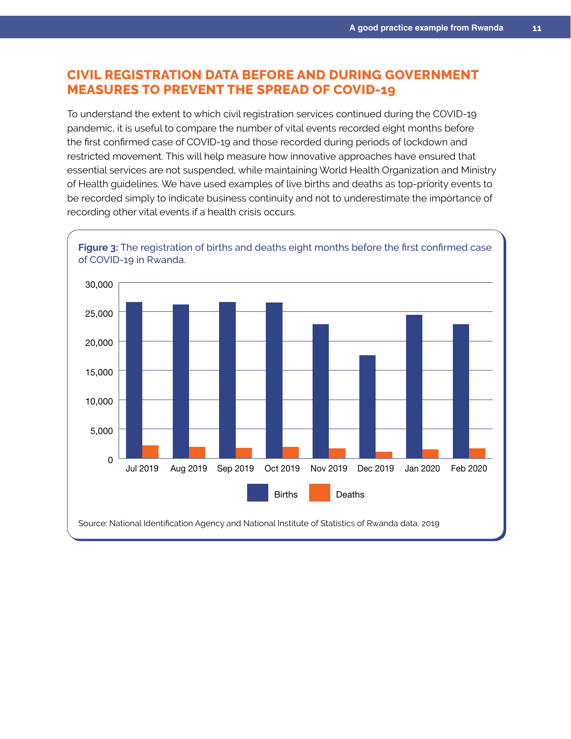## **CIVIL REGISTRATION DATA BEFORE AND DURING GOVERNMENT MEASURES TO PREVENT THE SPREAD OF COVID-19**

To understand the extent to which civil registration services continued during the COVID-19 pandemic, it is useful to compare the number of vital events recorded eight months before the first confirmed case of COVID-19 and those recorded during periods of lockdown and restricted movement. This will help measure how innovative approaches have ensured that essential services are not suspended, while maintaining World Health Organization and Ministry of Health guidelines. We have used examples of live births and deaths as top-priority events to be recorded simply to indicate business continuity and not to underestimate the importance of recording other vital events if a health crisis occurs.

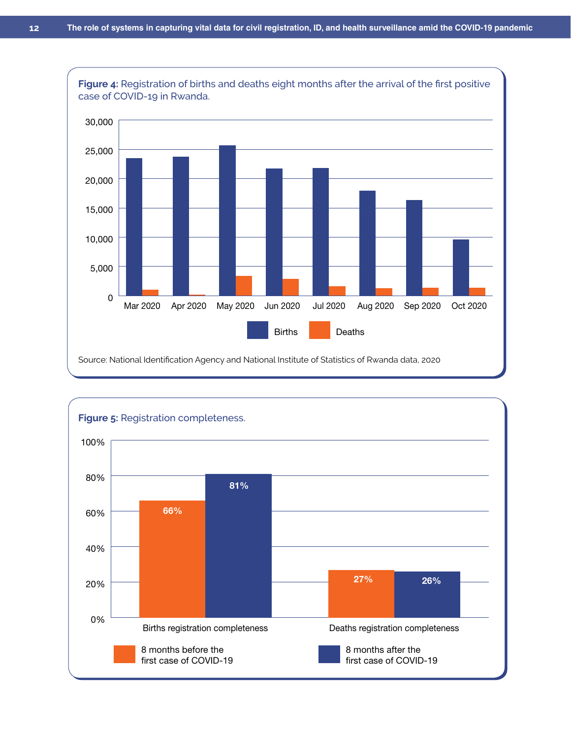

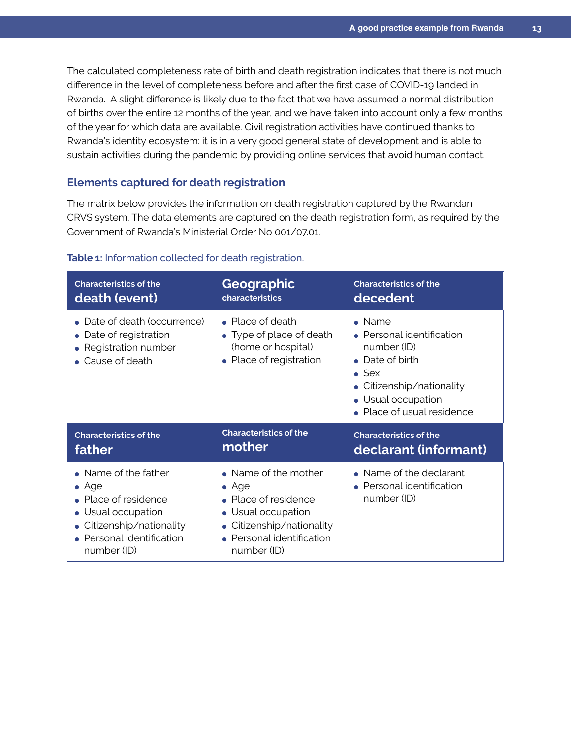The calculated completeness rate of birth and death registration indicates that there is not much difference in the level of completeness before and after the first case of COVID-19 landed in Rwanda. A slight difference is likely due to the fact that we have assumed a normal distribution of births over the entire 12 months of the year, and we have taken into account only a few months of the year for which data are available. Civil registration activities have continued thanks to Rwanda's identity ecosystem: it is in a very good general state of development and is able to sustain activities during the pandemic by providing online services that avoid human contact.

#### **Elements captured for death registration**

The matrix below provides the information on death registration captured by the Rwandan CRVS system. The data elements are captured on the death registration form, as required by the Government of Rwanda's Ministerial Order No 001/07.01.

| <b>Characteristics of the</b>                                                                                                               | Geographic                                                                                                                                    | <b>Characteristics of the</b>                                                                                                                                                   |
|---------------------------------------------------------------------------------------------------------------------------------------------|-----------------------------------------------------------------------------------------------------------------------------------------------|---------------------------------------------------------------------------------------------------------------------------------------------------------------------------------|
| death (event)                                                                                                                               | characteristics                                                                                                                               | decedent                                                                                                                                                                        |
| Date of death (occurrence)<br>Date of registration<br>Registration number<br>Cause of death                                                 | • Place of death<br>• Type of place of death<br>(home or hospital)<br>• Place of registration                                                 | $\bullet$ Name<br>• Personal identification<br>number (ID)<br>• Date of birth<br>$\bullet$ Sex<br>• Citizenship/nationality<br>• Usual occupation<br>• Place of usual residence |
| <b>Characteristics of the</b>                                                                                                               | <b>Characteristics of the</b>                                                                                                                 | <b>Characteristics of the</b>                                                                                                                                                   |
| father                                                                                                                                      | mother                                                                                                                                        | declarant (informant)                                                                                                                                                           |
| Name of the father<br>$\bullet$ Age<br>• Place of residence<br>• Usual occupation<br>• Citizenship/nationality<br>• Personal identification | • Name of the mother<br>$\bullet$ Age<br>• Place of residence<br>• Usual occupation<br>• Citizenship/nationality<br>• Personal identification | Name of the declarant<br>$\bullet$<br>• Personal identification<br>number (ID)                                                                                                  |

#### **Table 1:** Information collected for death registration.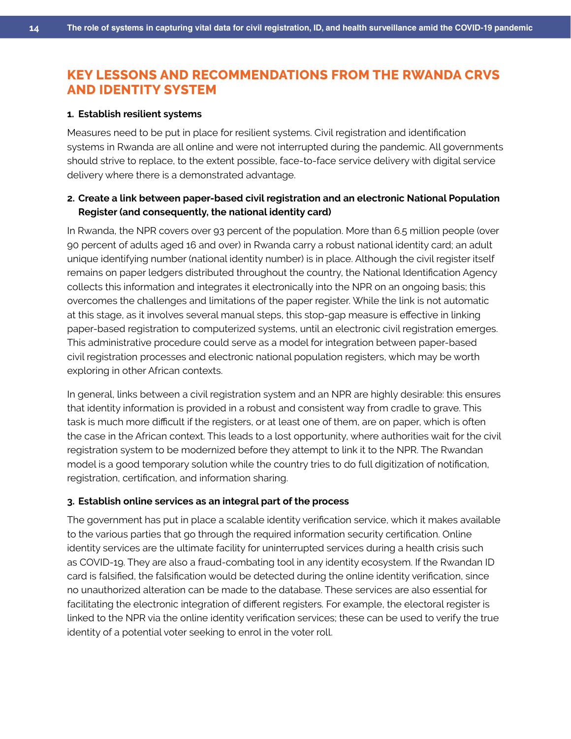## **KEY LESSONS AND RECOMMENDATIONS FROM THE RWANDA CRVS AND IDENTITY SYSTEM**

#### **1. Establish resilient systems**

Measures need to be put in place for resilient systems. Civil registration and identification systems in Rwanda are all online and were not interrupted during the pandemic. All governments should strive to replace, to the extent possible, face-to-face service delivery with digital service delivery where there is a demonstrated advantage.

#### **2. Create a link between paper-based civil registration and an electronic National Population Register (and consequently, the national identity card)**

In Rwanda, the NPR covers over 93 percent of the population. More than 6.5 million people (over 90 percent of adults aged 16 and over) in Rwanda carry a robust national identity card; an adult unique identifying number (national identity number) is in place. Although the civil register itself remains on paper ledgers distributed throughout the country, the National Identification Agency collects this information and integrates it electronically into the NPR on an ongoing basis; this overcomes the challenges and limitations of the paper register. While the link is not automatic at this stage, as it involves several manual steps, this stop-gap measure is effective in linking paper-based registration to computerized systems, until an electronic civil registration emerges. This administrative procedure could serve as a model for integration between paper-based civil registration processes and electronic national population registers, which may be worth exploring in other African contexts.

In general, links between a civil registration system and an NPR are highly desirable: this ensures that identity information is provided in a robust and consistent way from cradle to grave. This task is much more difficult if the registers, or at least one of them, are on paper, which is often the case in the African context. This leads to a lost opportunity, where authorities wait for the civil registration system to be modernized before they attempt to link it to the NPR. The Rwandan model is a good temporary solution while the country tries to do full digitization of notification, registration, certification, and information sharing.

#### **3. Establish online services as an integral part of the process**

The government has put in place a scalable identity verification service, which it makes available to the various parties that go through the required information security certification. Online identity services are the ultimate facility for uninterrupted services during a health crisis such as COVID-19. They are also a fraud-combating tool in any identity ecosystem. If the Rwandan ID card is falsified, the falsification would be detected during the online identity verification, since no unauthorized alteration can be made to the database. These services are also essential for facilitating the electronic integration of different registers. For example, the electoral register is linked to the NPR via the online identity verification services; these can be used to verify the true identity of a potential voter seeking to enrol in the voter roll.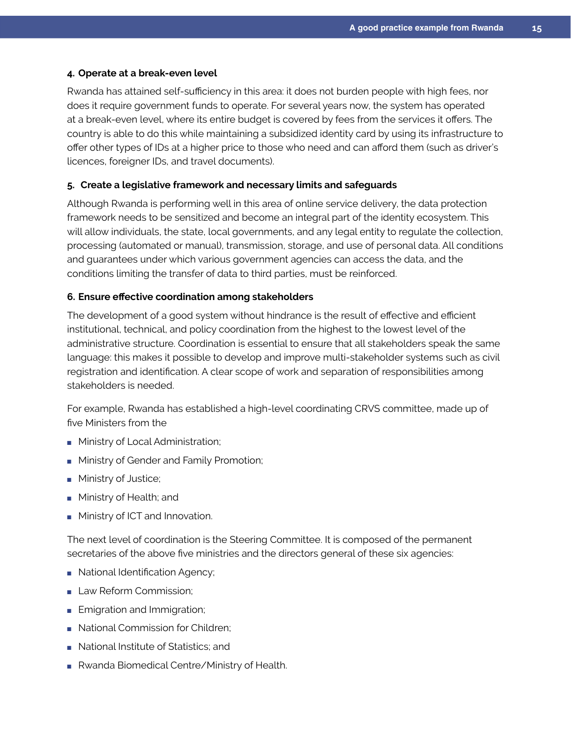#### **4. Operate at a break-even level**

Rwanda has attained self-sufficiency in this area: it does not burden people with high fees, nor does it require government funds to operate. For several years now, the system has operated at a break-even level, where its entire budget is covered by fees from the services it offers. The country is able to do this while maintaining a subsidized identity card by using its infrastructure to offer other types of IDs at a higher price to those who need and can afford them (such as driver's licences, foreigner IDs, and travel documents).

#### **5. Create a legislative framework and necessary limits and safeguards**

Although Rwanda is performing well in this area of online service delivery, the data protection framework needs to be sensitized and become an integral part of the identity ecosystem. This will allow individuals, the state, local governments, and any legal entity to regulate the collection, processing (automated or manual), transmission, storage, and use of personal data. All conditions and guarantees under which various government agencies can access the data, and the conditions limiting the transfer of data to third parties, must be reinforced.

#### **6. Ensure effective coordination among stakeholders**

The development of a good system without hindrance is the result of effective and efficient institutional, technical, and policy coordination from the highest to the lowest level of the administrative structure. Coordination is essential to ensure that all stakeholders speak the same language: this makes it possible to develop and improve multi-stakeholder systems such as civil registration and identification. A clear scope of work and separation of responsibilities among stakeholders is needed.

For example, Rwanda has established a high-level coordinating CRVS committee, made up of five Ministers from the

- Ministry of Local Administration;
- Ministry of Gender and Family Promotion;
- Ministry of Justice;
- Ministry of Health; and
- Ministry of ICT and Innovation.

The next level of coordination is the Steering Committee. It is composed of the permanent secretaries of the above five ministries and the directors general of these six agencies:

- National Identification Agency;
- Law Reform Commission:
- Emigration and Immigration;
- National Commission for Children:
- National Institute of Statistics; and
- Rwanda Biomedical Centre/Ministry of Health.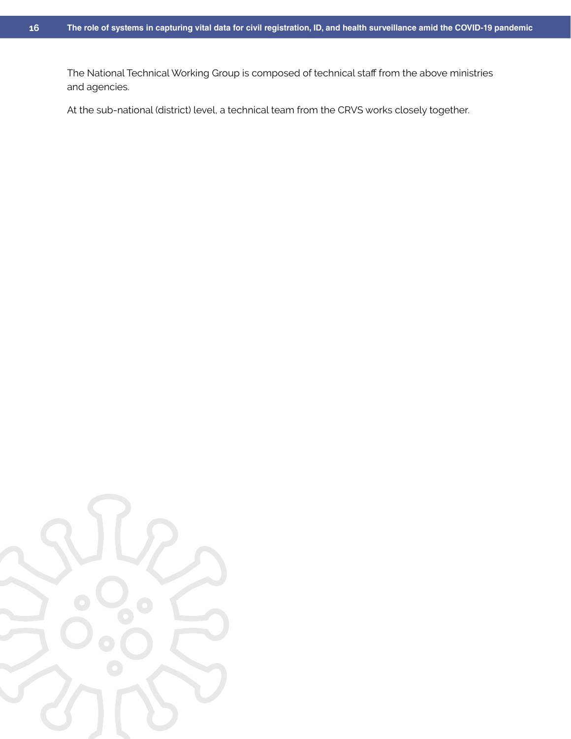The National Technical Working Group is composed of technical staff from the above ministries and agencies.

At the sub-national (district) level, a technical team from the CRVS works closely together.